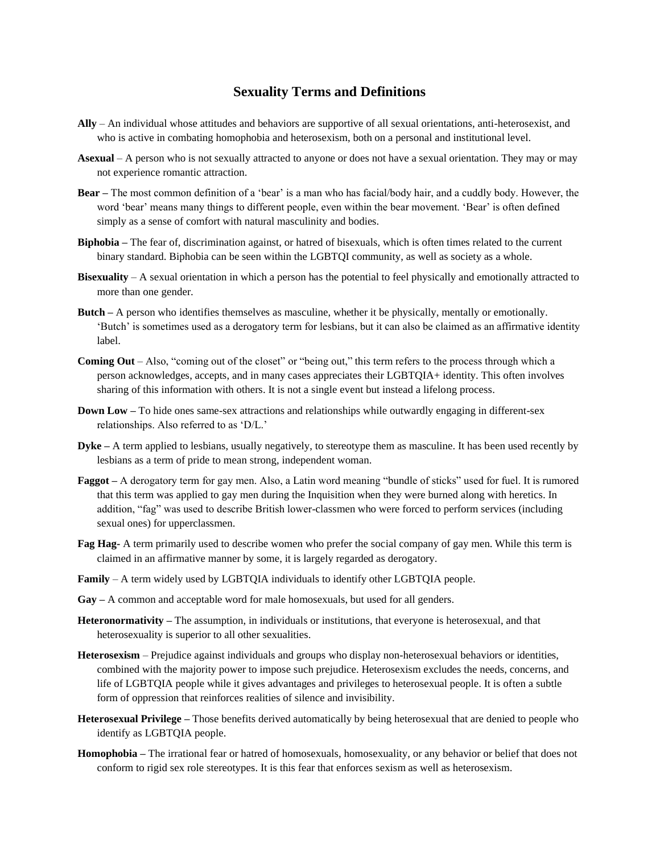## **Sexuality Terms and Definitions**

- **Ally**  An individual whose attitudes and behaviors are supportive of all sexual orientations, anti-heterosexist, and who is active in combating homophobia and heterosexism, both on a personal and institutional level.
- **Asexual**  A person who is not sexually attracted to anyone or does not have a sexual orientation. They may or may not experience romantic attraction.
- **Bear –** The most common definition of a 'bear' is a man who has facial/body hair, and a cuddly body. However, the word 'bear' means many things to different people, even within the bear movement. 'Bear' is often defined simply as a sense of comfort with natural masculinity and bodies.
- **Biphobia –** The fear of, discrimination against, or hatred of bisexuals, which is often times related to the current binary standard. Biphobia can be seen within the LGBTQI community, as well as society as a whole.
- **Bisexuality**  A sexual orientation in which a person has the potential to feel physically and emotionally attracted to more than one gender.
- **Butch –** A person who identifies themselves as masculine, whether it be physically, mentally or emotionally. 'Butch' is sometimes used as a derogatory term for lesbians, but it can also be claimed as an affirmative identity label.
- **Coming Out**  Also, "coming out of the closet" or "being out," this term refers to the process through which a person acknowledges, accepts, and in many cases appreciates their LGBTQIA+ identity. This often involves sharing of this information with others. It is not a single event but instead a lifelong process.
- **Down Low –** To hide ones same-sex attractions and relationships while outwardly engaging in different-sex relationships. Also referred to as 'D/L.'
- **Dyke –** A term applied to lesbians, usually negatively, to stereotype them as masculine. It has been used recently by lesbians as a term of pride to mean strong, independent woman.
- **Faggot –** A derogatory term for gay men. Also, a Latin word meaning "bundle of sticks" used for fuel. It is rumored that this term was applied to gay men during the Inquisition when they were burned along with heretics. In addition, "fag" was used to describe British lower-classmen who were forced to perform services (including sexual ones) for upperclassmen.
- **Fag Hag-** A term primarily used to describe women who prefer the social company of gay men. While this term is claimed in an affirmative manner by some, it is largely regarded as derogatory.
- **Family**  A term widely used by LGBTQIA individuals to identify other LGBTQIA people.
- **Gay –** A common and acceptable word for male homosexuals, but used for all genders.
- **Heteronormativity –** The assumption, in individuals or institutions, that everyone is heterosexual, and that heterosexuality is superior to all other sexualities.
- **Heterosexism**  Prejudice against individuals and groups who display non-heterosexual behaviors or identities, combined with the majority power to impose such prejudice. Heterosexism excludes the needs, concerns, and life of LGBTQIA people while it gives advantages and privileges to heterosexual people. It is often a subtle form of oppression that reinforces realities of silence and invisibility.
- **Heterosexual Privilege –** Those benefits derived automatically by being heterosexual that are denied to people who identify as LGBTQIA people.
- **Homophobia –** The irrational fear or hatred of homosexuals, homosexuality, or any behavior or belief that does not conform to rigid sex role stereotypes. It is this fear that enforces sexism as well as heterosexism.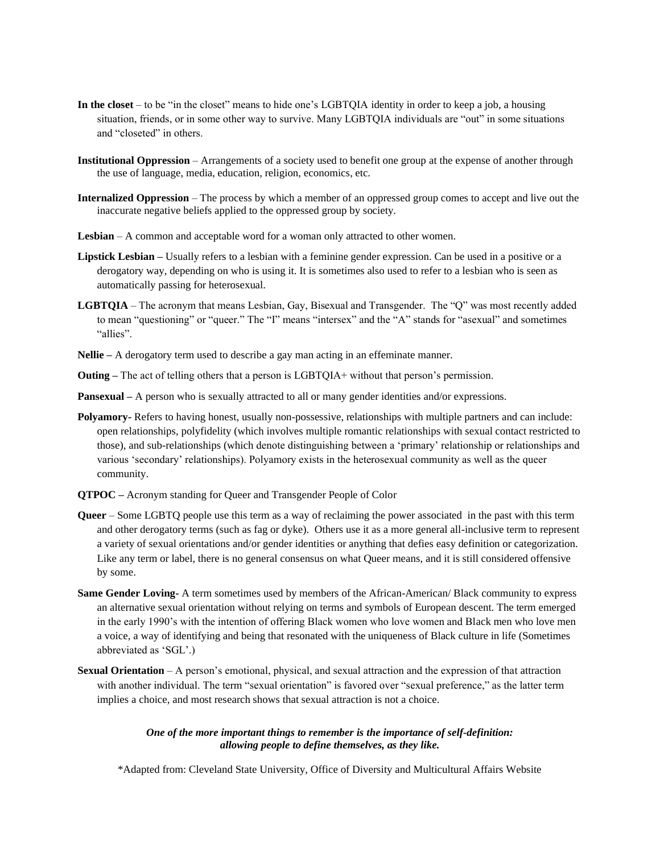- **In the closet**  to be "in the closet" means to hide one's LGBTQIA identity in order to keep a job, a housing situation, friends, or in some other way to survive. Many LGBTQIA individuals are "out" in some situations and "closeted" in others.
- **Institutional Oppression**  Arrangements of a society used to benefit one group at the expense of another through the use of language, media, education, religion, economics, etc.
- **Internalized Oppression**  The process by which a member of an oppressed group comes to accept and live out the inaccurate negative beliefs applied to the oppressed group by society.
- **Lesbian** A common and acceptable word for a woman only attracted to other women.
- **Lipstick Lesbian –** Usually refers to a lesbian with a feminine gender expression. Can be used in a positive or a derogatory way, depending on who is using it. It is sometimes also used to refer to a lesbian who is seen as automatically passing for heterosexual.
- **LGBTQIA** The acronym that means Lesbian, Gay, Bisexual and Transgender. The "Q" was most recently added to mean "questioning" or "queer." The "I" means "intersex" and the "A" stands for "asexual" and sometimes "allies".
- **Nellie –** A derogatory term used to describe a gay man acting in an effeminate manner.
- **Outing** The act of telling others that a person is LGBTOIA+ without that person's permission.
- **Pansexual –** A person who is sexually attracted to all or many gender identities and/or expressions.
- **Polyamory-** Refers to having honest, usually non-possessive, relationships with multiple partners and can include: open relationships, polyfidelity (which involves multiple romantic relationships with sexual contact restricted to those), and sub-relationships (which denote distinguishing between a 'primary' relationship or relationships and various 'secondary' relationships). Polyamory exists in the heterosexual community as well as the queer community.
- **QTPOC –** Acronym standing for Queer and Transgender People of Color
- **Queer** Some LGBTQ people use this term as a way of reclaiming the power associated in the past with this term and other derogatory terms (such as fag or dyke). Others use it as a more general all-inclusive term to represent a variety of sexual orientations and/or gender identities or anything that defies easy definition or categorization. Like any term or label, there is no general consensus on what Queer means, and it is still considered offensive by some.
- **Same Gender Loving-** A term sometimes used by members of the African-American/ Black community to express an alternative sexual orientation without relying on terms and symbols of European descent. The term emerged in the early 1990's with the intention of offering Black women who love women and Black men who love men a voice, a way of identifying and being that resonated with the uniqueness of Black culture in life (Sometimes abbreviated as 'SGL'.)
- **Sexual Orientation** A person's emotional, physical, and sexual attraction and the expression of that attraction with another individual. The term "sexual orientation" is favored over "sexual preference," as the latter term implies a choice, and most research shows that sexual attraction is not a choice.

## *One of the more important things to remember is the importance of self-definition: allowing people to define themselves, as they like.*

\*Adapted from: Cleveland State University, Office of Diversity and Multicultural Affairs Website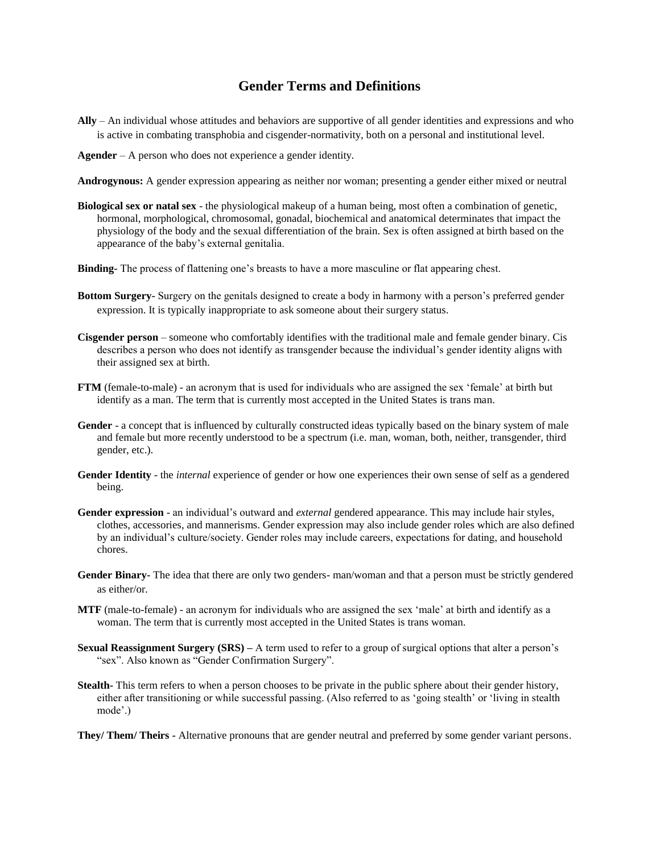## **Gender Terms and Definitions**

- **Ally**  An individual whose attitudes and behaviors are supportive of all gender identities and expressions and who is active in combating transphobia and cisgender-normativity, both on a personal and institutional level.
- **Agender** A person who does not experience a gender identity.
- **Androgynous:** A gender expression appearing as neither nor woman; presenting a gender either mixed or neutral
- **Biological sex or natal sex** the physiological makeup of a human being, most often a combination of genetic, hormonal, morphological, chromosomal, gonadal, biochemical and anatomical determinates that impact the physiology of the body and the sexual differentiation of the brain. Sex is often assigned at birth based on the appearance of the baby's external genitalia.
- **Binding-** The process of flattening one's breasts to have a more masculine or flat appearing chest.
- **Bottom Surgery-** Surgery on the genitals designed to create a body in harmony with a person's preferred gender expression. It is typically inappropriate to ask someone about their surgery status.
- **Cisgender person** someone who comfortably identifies with the traditional male and female gender binary. Cis describes a person who does not identify as transgender because the individual's gender identity aligns with their assigned sex at birth.
- **FTM** (female-to-male) an acronym that is used for individuals who are assigned the sex 'female' at birth but identify as a man. The term that is currently most accepted in the United States is trans man.
- **Gender** a concept that is influenced by culturally constructed ideas typically based on the binary system of male and female but more recently understood to be a spectrum (i.e. man, woman, both, neither, transgender, third gender, etc.).
- **Gender Identity** the *internal* experience of gender or how one experiences their own sense of self as a gendered being.
- **Gender expression**  an individual's outward and *external* gendered appearance. This may include hair styles, clothes, accessories, and mannerisms. Gender expression may also include gender roles which are also defined by an individual's culture/society. Gender roles may include careers, expectations for dating, and household chores.
- Gender Binary-The idea that there are only two genders- man/woman and that a person must be strictly gendered as either/or.
- **MTF** (male-to-female) an acronym for individuals who are assigned the sex 'male' at birth and identify as a woman. The term that is currently most accepted in the United States is trans woman.
- **Sexual Reassignment Surgery (SRS)** A term used to refer to a group of surgical options that alter a person's "sex". Also known as "Gender Confirmation Surgery".
- **Stealth-** This term refers to when a person chooses to be private in the public sphere about their gender history, either after transitioning or while successful passing. (Also referred to as 'going stealth' or 'living in stealth mode'.)
- **They/ Them/ Theirs -** Alternative pronouns that are gender neutral and preferred by some gender variant persons.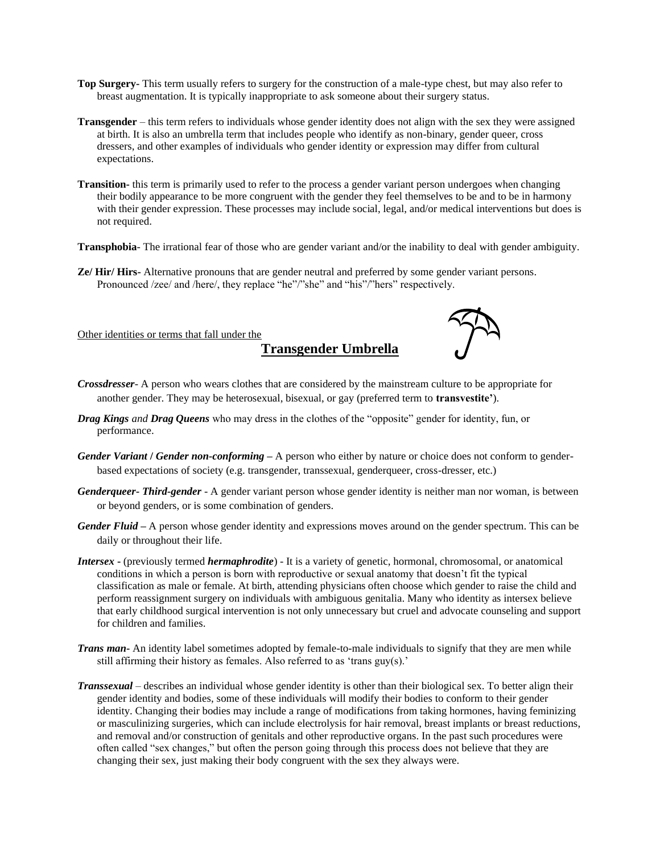- **Top Surgery-** This term usually refers to surgery for the construction of a male-type chest, but may also refer to breast augmentation. It is typically inappropriate to ask someone about their surgery status.
- **Transgender**  this term refers to individuals whose gender identity does not align with the sex they were assigned at birth. It is also an umbrella term that includes people who identify as non-binary, gender queer, cross dressers, and other examples of individuals who gender identity or expression may differ from cultural expectations.
- **Transition-** this term is primarily used to refer to the process a gender variant person undergoes when changing their bodily appearance to be more congruent with the gender they feel themselves to be and to be in harmony with their gender expression. These processes may include social, legal, and/or medical interventions but does is not required.
- **Transphobia** The irrational fear of those who are gender variant and/or the inability to deal with gender ambiguity.
- **Ze/ Hir/ Hirs-** Alternative pronouns that are gender neutral and preferred by some gender variant persons. Pronounced /zee/ and /here/, they replace "he"/"she" and "his"/"hers" respectively.

Other identities or terms that fall under the

**Transgender Umbrella**



- *Crossdresser* A person who wears clothes that are considered by the mainstream culture to be appropriate for another gender. They may be heterosexual, bisexual, or gay (preferred term to **transvestite'**).
- *Drag Kings and Drag Queens* who may dress in the clothes of the "opposite" gender for identity, fun, or performance.
- *Gender Variant* **/** *Gender non-conforming* **–** A person who either by nature or choice does not conform to genderbased expectations of society (e.g. transgender, transsexual, genderqueer, cross-dresser, etc.)
- *Genderqueer- Third-gender* A gender variant person whose gender identity is neither man nor woman, is between or beyond genders, or is some combination of genders.
- *Gender Fluid –* A person whose gender identity and expressions moves around on the gender spectrum. This can be daily or throughout their life.
- *Intersex* **-** (previously termed *hermaphrodite*) *-* It is a variety of genetic, hormonal, chromosomal, or anatomical conditions in which a person is born with reproductive or sexual anatomy that doesn't fit the typical classification as male or female. At birth, attending physicians often choose which gender to raise the child and perform reassignment surgery on individuals with ambiguous genitalia. Many who identity as intersex believe that early childhood surgical intervention is not only unnecessary but cruel and advocate counseling and support for children and families.
- *Trans man***-** An identity label sometimes adopted by female-to-male individuals to signify that they are men while still affirming their history as females. Also referred to as 'trans guy(s).'
- *Transsexual* describes an individual whose gender identity is other than their biological sex. To better align their gender identity and bodies, some of these individuals will modify their bodies to conform to their gender identity. Changing their bodies may include a range of modifications from taking hormones, having feminizing or masculinizing surgeries, which can include electrolysis for hair removal, breast implants or breast reductions, and removal and/or construction of genitals and other reproductive organs. In the past such procedures were often called "sex changes," but often the person going through this process does not believe that they are changing their sex, just making their body congruent with the sex they always were.